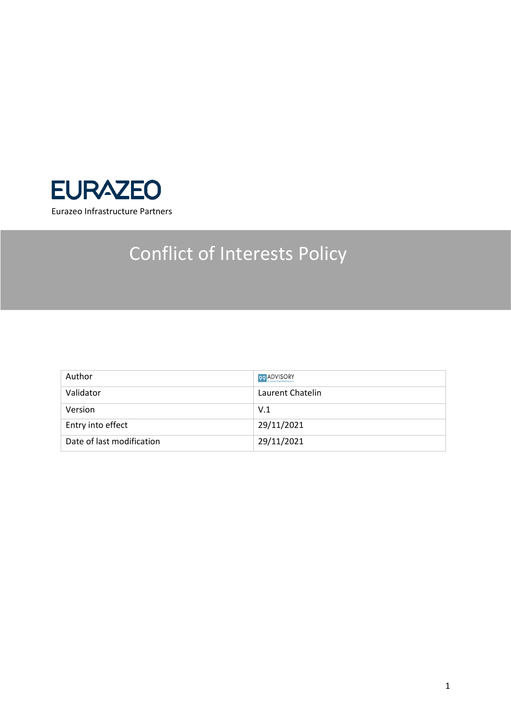

# Conflict of Interests Policy

| Author                    | 99 ADVISORY      |
|---------------------------|------------------|
| Validator                 | Laurent Chatelin |
| Version                   | V.1              |
| Entry into effect         | 29/11/2021       |
| Date of last modification | 29/11/2021       |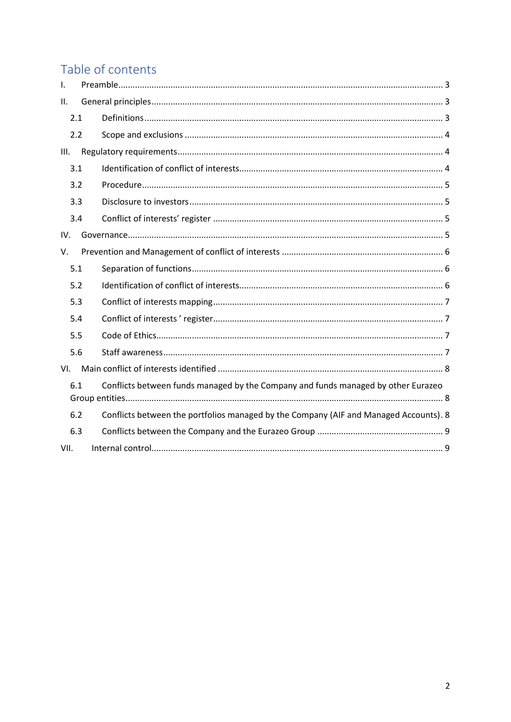# Table of contents

| $\mathsf{L}$                                                                             |                                                                                       |
|------------------------------------------------------------------------------------------|---------------------------------------------------------------------------------------|
| II.                                                                                      |                                                                                       |
| 2.1                                                                                      |                                                                                       |
| 2.2                                                                                      |                                                                                       |
| III.                                                                                     |                                                                                       |
| 3.1                                                                                      |                                                                                       |
| 3.2                                                                                      |                                                                                       |
| 3.3                                                                                      |                                                                                       |
| 3.4                                                                                      |                                                                                       |
| IV.                                                                                      |                                                                                       |
| V.                                                                                       |                                                                                       |
| 5.1                                                                                      |                                                                                       |
| 5.2                                                                                      |                                                                                       |
| 5.3                                                                                      |                                                                                       |
| 5.4                                                                                      |                                                                                       |
| 5.5                                                                                      |                                                                                       |
| 5.6                                                                                      |                                                                                       |
| VI.                                                                                      |                                                                                       |
| Conflicts between funds managed by the Company and funds managed by other Eurazeo<br>6.1 |                                                                                       |
| 6.2                                                                                      | Conflicts between the portfolios managed by the Company (AIF and Managed Accounts). 8 |
| 6.3                                                                                      |                                                                                       |
| VII.                                                                                     |                                                                                       |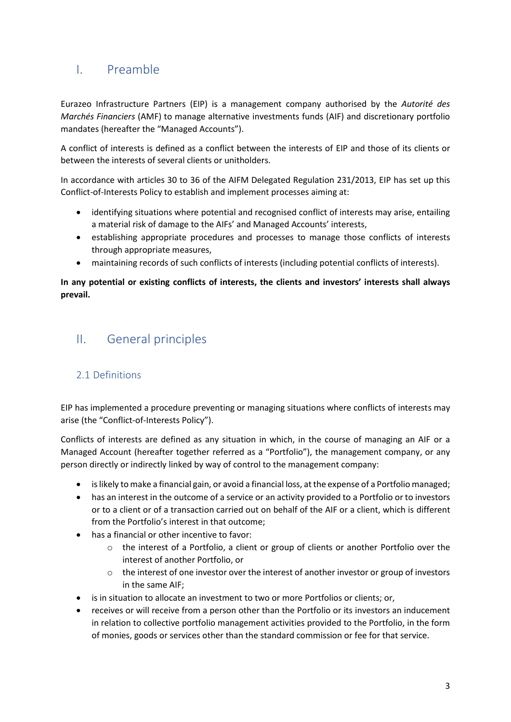# <span id="page-2-0"></span>I. Preamble

Eurazeo Infrastructure Partners (EIP) is a management company authorised by the *Autorité des Marchés Financiers* (AMF) to manage alternative investments funds (AIF) and discretionary portfolio mandates (hereafter the "Managed Accounts").

A conflict of interests is defined as a conflict between the interests of EIP and those of its clients or between the interests of several clients or unitholders.

In accordance with articles 30 to 36 of the AIFM Delegated Regulation 231/2013, EIP has set up this Conflict-of-Interests Policy to establish and implement processes aiming at:

- identifying situations where potential and recognised conflict of interests may arise, entailing a material risk of damage to the AIFs' and Managed Accounts' interests,
- establishing appropriate procedures and processes to manage those conflicts of interests through appropriate measures,
- maintaining records of such conflicts of interests (including potential conflicts of interests).

#### **In any potential or existing conflicts of interests, the clients and investors' interests shall always prevail.**

# <span id="page-2-1"></span>II. General principles

# <span id="page-2-2"></span>2.1 Definitions

EIP has implemented a procedure preventing or managing situations where conflicts of interests may arise (the "Conflict-of-Interests Policy").

Conflicts of interests are defined as any situation in which, in the course of managing an AIF or a Managed Account (hereafter together referred as a "Portfolio"), the management company, or any person directly or indirectly linked by way of control to the management company:

- is likely to make a financial gain, or avoid a financial loss, at the expense of a Portfolio managed;
- has an interest in the outcome of a service or an activity provided to a Portfolio or to investors or to a client or of a transaction carried out on behalf of the AIF or a client, which is different from the Portfolio's interest in that outcome;
- has a financial or other incentive to favor:
	- o the interest of a Portfolio, a client or group of clients or another Portfolio over the interest of another Portfolio, or
	- $\circ$  the interest of one investor over the interest of another investor or group of investors in the same AIF;
- is in situation to allocate an investment to two or more Portfolios or clients; or,
- receives or will receive from a person other than the Portfolio or its investors an inducement in relation to collective portfolio management activities provided to the Portfolio, in the form of monies, goods or services other than the standard commission or fee for that service.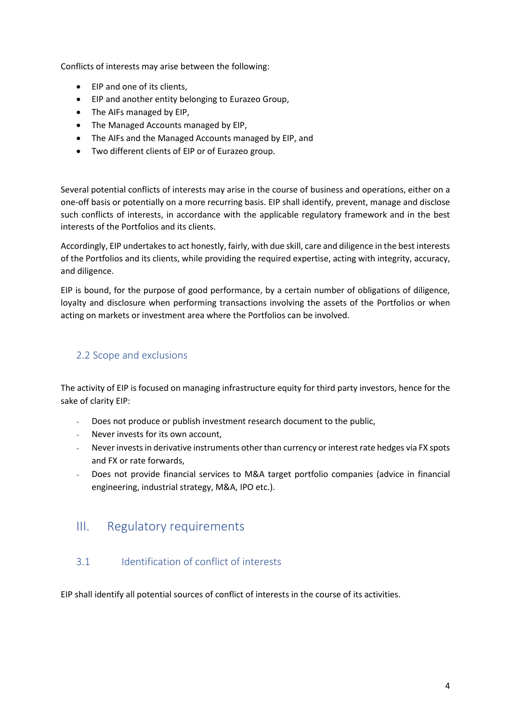Conflicts of interests may arise between the following:

- EIP and one of its clients,
- EIP and another entity belonging to Eurazeo Group,
- The AIFs managed by EIP,
- The Managed Accounts managed by EIP,
- The AIFs and the Managed Accounts managed by EIP, and
- Two different clients of EIP or of Eurazeo group.

Several potential conflicts of interests may arise in the course of business and operations, either on a one-off basis or potentially on a more recurring basis. EIP shall identify, prevent, manage and disclose such conflicts of interests, in accordance with the applicable regulatory framework and in the best interests of the Portfolios and its clients.

Accordingly, EIP undertakes to act honestly, fairly, with due skill, care and diligence in the best interests of the Portfolios and its clients, while providing the required expertise, acting with integrity, accuracy, and diligence.

EIP is bound, for the purpose of good performance, by a certain number of obligations of diligence, loyalty and disclosure when performing transactions involving the assets of the Portfolios or when acting on markets or investment area where the Portfolios can be involved.

## <span id="page-3-0"></span>2.2 Scope and exclusions

The activity of EIP is focused on managing infrastructure equity for third party investors, hence for the sake of clarity EIP:

- Does not produce or publish investment research document to the public,
- Never invests for its own account,
- Never invests in derivative instruments other than currency or interest rate hedges via FX spots and FX or rate forwards,
- Does not provide financial services to M&A target portfolio companies (advice in financial engineering, industrial strategy, M&A, IPO etc.).

# <span id="page-3-1"></span>III. Regulatory requirements

#### <span id="page-3-2"></span>3.1 Identification of conflict of interests

EIP shall identify all potential sources of conflict of interests in the course of its activities.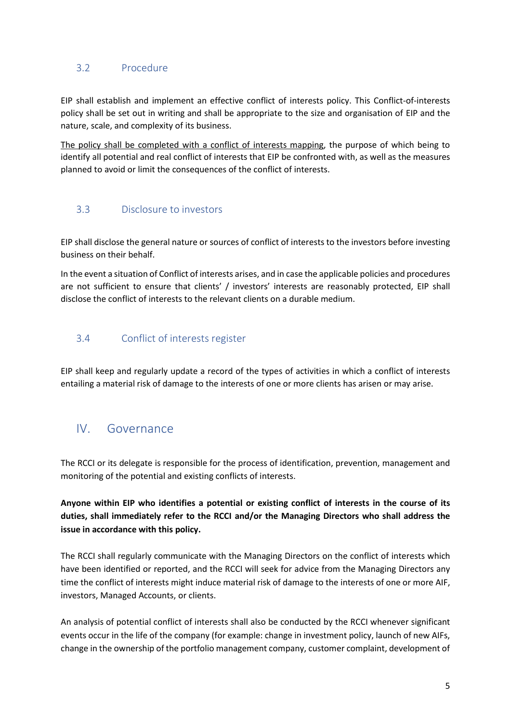### <span id="page-4-0"></span>3.2 Procedure

EIP shall establish and implement an effective conflict of interests policy. This Conflict-of-interests policy shall be set out in writing and shall be appropriate to the size and organisation of EIP and the nature, scale, and complexity of its business.

The policy shall be completed with a conflict of interests mapping, the purpose of which being to identify all potential and real conflict of interests that EIP be confronted with, as well as the measures planned to avoid or limit the consequences of the conflict of interests.

#### <span id="page-4-1"></span>3.3 Disclosure to investors

EIP shall disclose the general nature or sources of conflict of interests to the investors before investing business on their behalf.

In the event a situation of Conflict of interests arises, and in case the applicable policies and procedures are not sufficient to ensure that clients' / investors' interests are reasonably protected, EIP shall disclose the conflict of interests to the relevant clients on a durable medium.

## <span id="page-4-2"></span>3.4 Conflict of interests register

EIP shall keep and regularly update a record of the types of activities in which a conflict of interests entailing a material risk of damage to the interests of one or more clients has arisen or may arise.

# <span id="page-4-3"></span>IV. Governance

The RCCI or its delegate is responsible for the process of identification, prevention, management and monitoring of the potential and existing conflicts of interests.

**Anyone within EIP who identifies a potential or existing conflict of interests in the course of its duties, shall immediately refer to the RCCI and/or the Managing Directors who shall address the issue in accordance with this policy.** 

The RCCI shall regularly communicate with the Managing Directors on the conflict of interests which have been identified or reported, and the RCCI will seek for advice from the Managing Directors any time the conflict of interests might induce material risk of damage to the interests of one or more AIF, investors, Managed Accounts, or clients.

An analysis of potential conflict of interests shall also be conducted by the RCCI whenever significant events occur in the life of the company (for example: change in investment policy, launch of new AIFs, change in the ownership of the portfolio management company, customer complaint, development of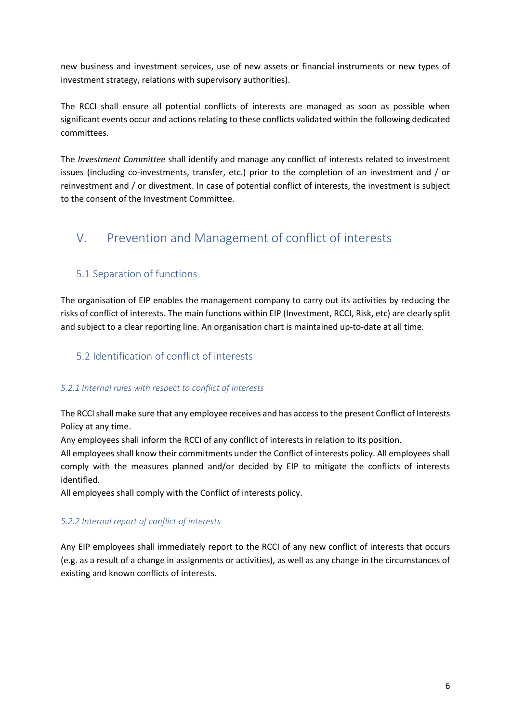new business and investment services, use of new assets or financial instruments or new types of investment strategy, relations with supervisory authorities).

The RCCI shall ensure all potential conflicts of interests are managed as soon as possible when significant events occur and actions relating to these conflicts validated within the following dedicated committees.

The *Investment Committee* shall identify and manage any conflict of interests related to investment issues (including co-investments, transfer, etc.) prior to the completion of an investment and / or reinvestment and / or divestment. In case of potential conflict of interests, the investment is subject to the consent of the Investment Committee.

# <span id="page-5-0"></span>V. Prevention and Management of conflict of interests

## <span id="page-5-1"></span>5.1 Separation of functions

The organisation of EIP enables the management company to carry out its activities by reducing the risks of conflict of interests. The main functions within EIP (Investment, RCCI, Risk, etc) are clearly split and subject to a clear reporting line. An organisation chart is maintained up-to-date at all time.

## <span id="page-5-2"></span>5.2 Identification of conflict of interests

#### *5.2.1 Internal rules with respect to conflict of interests*

The RCCI shall make sure that any employee receives and has access to the present Conflict of Interests Policy at any time.

Any employees shall inform the RCCI of any conflict of interests in relation to its position.

All employees shall know their commitments under the Conflict of interests policy. All employees shall comply with the measures planned and/or decided by EIP to mitigate the conflicts of interests identified.

All employees shall comply with the Conflict of interests policy.

#### *5.2.2 Internal report of conflict of interests*

Any EIP employees shall immediately report to the RCCI of any new conflict of interests that occurs (e.g. as a result of a change in assignments or activities), as well as any change in the circumstances of existing and known conflicts of interests.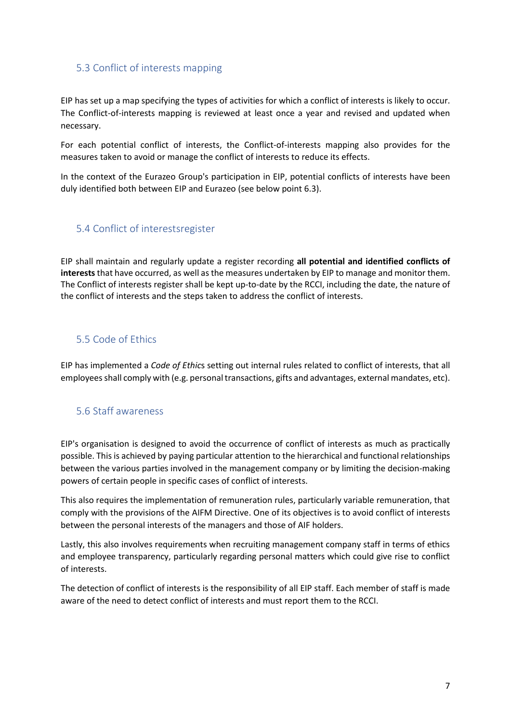#### <span id="page-6-0"></span>5.3 Conflict of interests mapping

EIP has set up a map specifying the types of activities for which a conflict of interests is likely to occur. The Conflict-of-interests mapping is reviewed at least once a year and revised and updated when necessary.

For each potential conflict of interests, the Conflict-of-interests mapping also provides for the measures taken to avoid or manage the conflict of interests to reduce its effects.

In the context of the Eurazeo Group's participation in EIP, potential conflicts of interests have been duly identified both between EIP and Eurazeo (see below point 6.3).

#### <span id="page-6-1"></span>5.4 Conflict of interestsregister

EIP shall maintain and regularly update a register recording **all potential and identified conflicts of interests**that have occurred, as well as the measures undertaken by EIP to manage and monitor them. The Conflict of interests register shall be kept up-to-date by the RCCI, including the date, the nature of the conflict of interests and the steps taken to address the conflict of interests.

#### <span id="page-6-2"></span>5.5 Code of Ethics

EIP has implemented a *Code of Ethic*s setting out internal rules related to conflict of interests, that all employees shall comply with (e.g. personal transactions, gifts and advantages, external mandates, etc).

#### <span id="page-6-3"></span>5.6 Staff awareness

EIP's organisation is designed to avoid the occurrence of conflict of interests as much as practically possible. This is achieved by paying particular attention to the hierarchical and functional relationships between the various parties involved in the management company or by limiting the decision-making powers of certain people in specific cases of conflict of interests.

This also requires the implementation of remuneration rules, particularly variable remuneration, that comply with the provisions of the AIFM Directive. One of its objectives is to avoid conflict of interests between the personal interests of the managers and those of AIF holders.

Lastly, this also involves requirements when recruiting management company staff in terms of ethics and employee transparency, particularly regarding personal matters which could give rise to conflict of interests.

The detection of conflict of interests is the responsibility of all EIP staff. Each member of staff is made aware of the need to detect conflict of interests and must report them to the RCCI.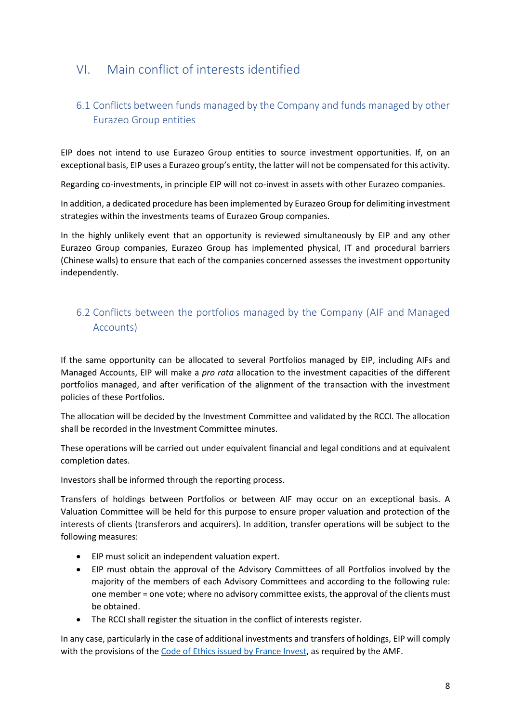# <span id="page-7-0"></span>VI. Main conflict of interests identified

# <span id="page-7-1"></span>6.1 Conflicts between funds managed by the Company and funds managed by other Eurazeo Group entities

EIP does not intend to use Eurazeo Group entities to source investment opportunities. If, on an exceptional basis, EIP uses a Eurazeo group's entity, the latter will not be compensated for this activity.

Regarding co-investments, in principle EIP will not co-invest in assets with other Eurazeo companies.

In addition, a dedicated procedure has been implemented by Eurazeo Group for delimiting investment strategies within the investments teams of Eurazeo Group companies.

In the highly unlikely event that an opportunity is reviewed simultaneously by EIP and any other Eurazeo Group companies, Eurazeo Group has implemented physical, IT and procedural barriers (Chinese walls) to ensure that each of the companies concerned assesses the investment opportunity independently.

# <span id="page-7-2"></span>6.2 Conflicts between the portfolios managed by the Company (AIF and Managed Accounts)

If the same opportunity can be allocated to several Portfolios managed by EIP, including AIFs and Managed Accounts, EIP will make a *pro rata* allocation to the investment capacities of the different portfolios managed, and after verification of the alignment of the transaction with the investment policies of these Portfolios.

The allocation will be decided by the Investment Committee and validated by the RCCI. The allocation shall be recorded in the Investment Committee minutes.

These operations will be carried out under equivalent financial and legal conditions and at equivalent completion dates.

Investors shall be informed through the reporting process.

Transfers of holdings between Portfolios or between AIF may occur on an exceptional basis. A Valuation Committee will be held for this purpose to ensure proper valuation and protection of the interests of clients (transferors and acquirers). In addition, transfer operations will be subject to the following measures:

- EIP must solicit an independent valuation expert.
- EIP must obtain the approval of the Advisory Committees of all Portfolios involved by the majority of the members of each Advisory Committees and according to the following rule: one member = one vote; where no advisory committee exists, the approval of the clients must be obtained.
- The RCCI shall register the situation in the conflict of interests register.

In any case, particularly in the case of additional investments and transfers of holdings, EIP will comply with the provisions of the [Code of Ethics issued by France Invest,](https://www.franceinvest.eu/wp-content/uploads/Juridique-fiscal/Code-de-déontologie-France-Invest-version-AGE-2018.pdf) as required by the AMF.